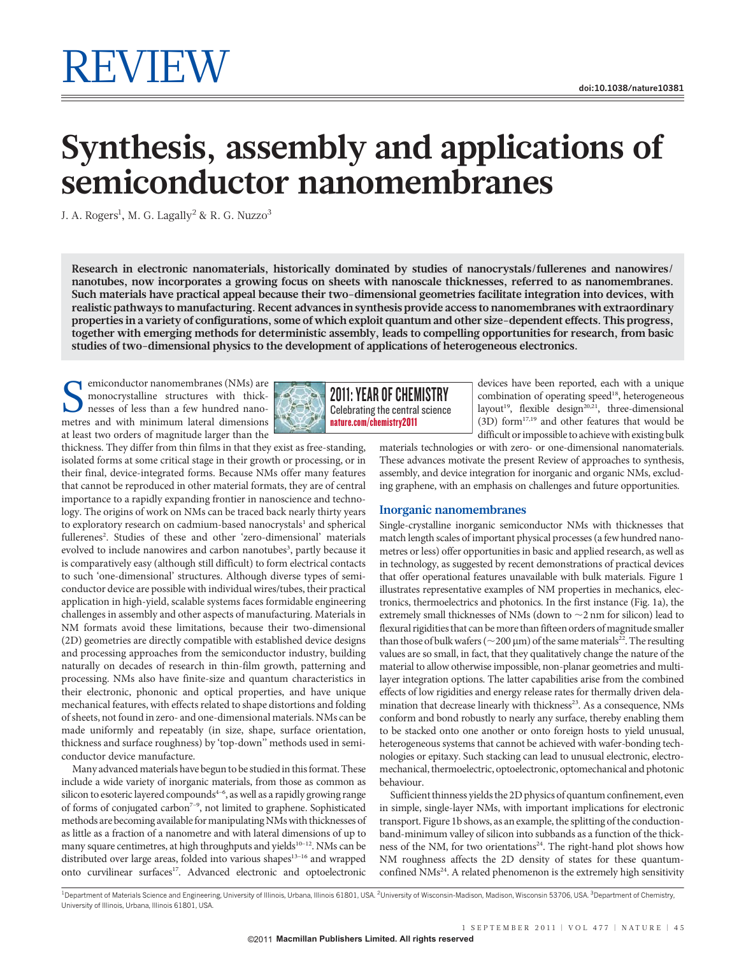# Synthesis, assembly and applications of semiconductor nanomembranes

J. A. Rogers", M. G. Lagally" & R. G. Nuzzo<sup>3</sup>

Research in electronic nanomaterials, historically dominated by studies of nanocrystals/fullerenes and nanowires/ nanotubes, now incorporates a growing focus on sheets with nanoscale thicknesses, referred to as nanomembranes. Such materials have practical appeal because their two-dimensional geometries facilitate integration into devices, with realistic pathways to manufacturing. Recent advances in synthesis provide access to nanomembranes with extraordinary properties in a variety of configurations, some of which exploit quantum and other size-dependent effects. This progress, together with emerging methods for deterministic assembly, leads to compelling opportunities for research, from basic studies of two-dimensional physics to the development of applications of heterogeneous electronics.

Semiconductor nanomembranes (NMs) are<br>monocrystalline structures with thick-<br>nesses of less than a few hundred nano-<br>metres and with minimum lateral dimensions<br>at least two orders of magnitude larger than the<br>thickness. Th monocrystalline structures with thicknesses of less than a few hundred nanometres and with minimum lateral dimensions at least two orders of magnitude larger than the



thickness. They differ from thin films in that they exist as free-standing, isolated forms at some critical stage in their growth or processing, or in their final, device-integrated forms. Because NMs offer many features that cannot be reproduced in other material formats, they are of central importance to a rapidly expanding frontier in nanoscience and technology. The origins of work on NMs can be traced back nearly thirty years to exploratory research on cadmium-based nanocrystals<sup>1</sup> and spherical fullerenes<sup>2</sup>. Studies of these and other 'zero-dimensional' materials evolved to include nanowires and carbon nanotubes<sup>3</sup>, partly because it is comparatively easy (although still difficult) to form electrical contacts to such 'one-dimensional' structures. Although diverse types of semiconductor device are possible with individual wires/tubes, their practical application in high-yield, scalable systems faces formidable engineering challenges in assembly and other aspects of manufacturing. Materials in NM formats avoid these limitations, because their two-dimensional (2D) geometries are directly compatible with established device designs and processing approaches from the semiconductor industry, building naturally on decades of research in thin-film growth, patterning and processing. NMs also have finite-size and quantum characteristics in their electronic, phononic and optical properties, and have unique mechanical features, with effects related to shape distortions and folding of sheets, not found in zero- and one-dimensional materials. NMs can be made uniformly and repeatably (in size, shape, surface orientation, thickness and surface roughness) by 'top-down'' methods used in semiconductor device manufacture.

Many advanced materials have begun to be studied in this format. These include a wide variety of inorganic materials, from those as common as silicon to esoteric layered compounds<sup>4-6</sup>, as well as a rapidly growing range of forms of conjugated carbon<sup>7-9</sup>, not limited to graphene. Sophisticated methods are becoming available for manipulating NMs with thicknesses of as little as a fraction of a nanometre and with lateral dimensions of up to many square centimetres, at high throughputs and yields<sup>10-12</sup>. NMs can be distributed over large areas, folded into various shapes<sup>13-16</sup> and wrapped onto curvilinear surfaces<sup>17</sup>. Advanced electronic and optoelectronic

devices have been reported, each with a unique combination of operating speed<sup>18</sup>, heterogeneous layout<sup>19</sup>, flexible design<sup>20,21</sup>, three-dimensional (3D) form17,19 and other features that would be difficult or impossible to achieve with existing bulk

materials technologies or with zero- or one-dimensional nanomaterials. These advances motivate the present Review of approaches to synthesis, assembly, and device integration for inorganic and organic NMs, excluding graphene, with an emphasis on challenges and future opportunities.

# Inorganic nanomembranes

Single-crystalline inorganic semiconductor NMs with thicknesses that match length scales of important physical processes (a few hundred nanometres or less) offer opportunities in basic and applied research, as well as in technology, as suggested by recent demonstrations of practical devices that offer operational features unavailable with bulk materials. Figure 1 illustrates representative examples of NM properties in mechanics, electronics, thermoelectrics and photonics. In the first instance (Fig. 1a), the extremely small thicknesses of NMs (down to  $\sim$  2 nm for silicon) lead to flexural rigidities that can be more than fifteen orders of magnitude smaller than those of bulk wafers ( $\sim$ 200 µm) of the same materials<sup>22</sup>. The resulting values are so small, in fact, that they qualitatively change the nature of the material to allow otherwise impossible, non-planar geometries and multilayer integration options. The latter capabilities arise from the combined effects of low rigidities and energy release rates for thermally driven delamination that decrease linearly with thickness<sup>23</sup>. As a consequence, NMs conform and bond robustly to nearly any surface, thereby enabling them to be stacked onto one another or onto foreign hosts to yield unusual, heterogeneous systems that cannot be achieved with wafer-bonding technologies or epitaxy. Such stacking can lead to unusual electronic, electromechanical, thermoelectric, optoelectronic, optomechanical and photonic behaviour.

Sufficient thinness yields the 2D physics of quantum confinement, even in simple, single-layer NMs, with important implications for electronic transport. Figure 1b shows, as an example, the splitting of the conductionband-minimum valley of silicon into subbands as a function of the thickness of the NM, for two orientations<sup>24</sup>. The right-hand plot shows how NM roughness affects the 2D density of states for these quantumconfined NMs<sup>24</sup>. A related phenomenon is the extremely high sensitivity

<sup>&</sup>lt;sup>1</sup>Department of Materials Science and Engineering, University of Illinois, Urbana, Illinois 61801, USA. <sup>2</sup>University of Wisconsin-Madison, Madison, Wisconsin 53706, USA. <sup>3</sup>Department of Chemistry, University of Illinois, Urbana, Illinois 61801, USA.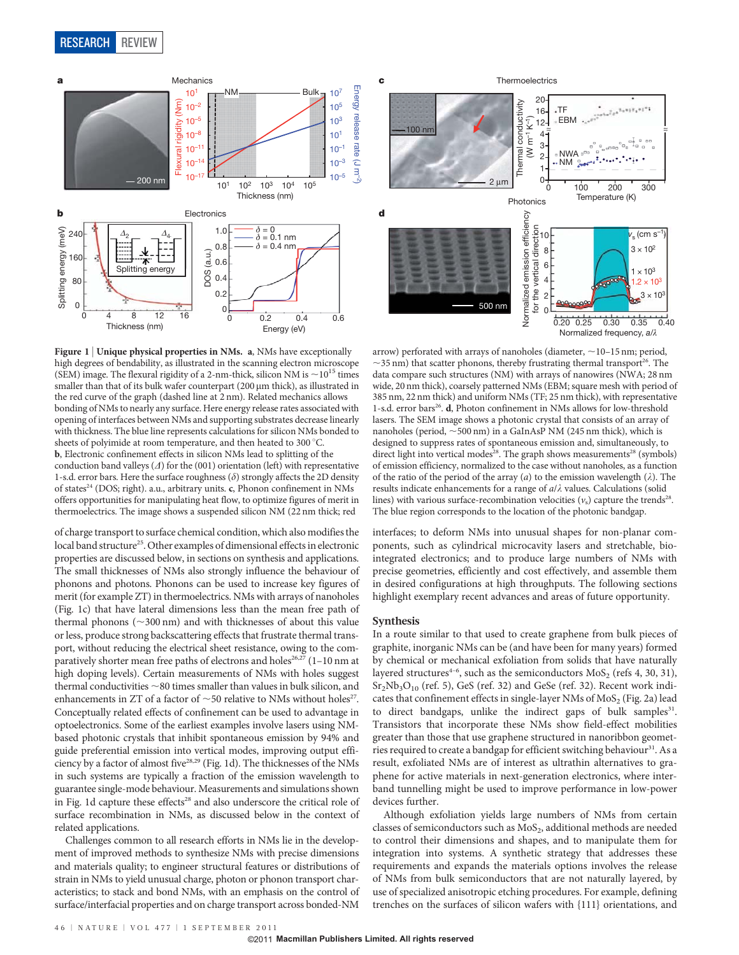

Figure 1 | Unique physical properties in NMs. a, NMs have exceptionally high degrees of bendability, as illustrated in the scanning electron microscope (SEM) image. The flexural rigidity of a 2-nm-thick, silicon NM is  $\sim 10^{15}$  times smaller than that of its bulk wafer counterpart (200 µm thick), as illustrated in the red curve of the graph (dashed line at 2 nm). Related mechanics allows bonding of NMs to nearly any surface. Here energy release rates associated with opening of interfaces between NMs and supporting substrates decrease linearly with thickness. The blue line represents calculations for silicon NMs bonded to sheets of polyimide at room temperature, and then heated to  $300^{\circ}$ C. b, Electronic confinement effects in silicon NMs lead to splitting of the conduction band valleys ( $\varDelta$ ) for the (001) orientation (left) with representative 1-s.d. error bars. Here the surface roughness ( $\delta$ ) strongly affects the 2D density of states<sup>24</sup> (DOS; right). a.u., arbitrary units. c, Phonon confinement in NMs offers opportunities for manipulating heat flow, to optimize figures of merit in thermoelectrics. The image shows a suspended silicon NM (22 nm thick; red

of charge transport to surface chemical condition, which also modifies the local band structure<sup>25</sup>. Other examples of dimensional effects in electronic properties are discussed below, in sections on synthesis and applications. The small thicknesses of NMs also strongly influence the behaviour of phonons and photons. Phonons can be used to increase key figures of merit (for example ZT) in thermoelectrics. NMs with arrays of nanoholes (Fig. 1c) that have lateral dimensions less than the mean free path of thermal phonons ( $\sim$ 300 nm) and with thicknesses of about this value or less, produce strong backscattering effects that frustrate thermal transport, without reducing the electrical sheet resistance, owing to the comparatively shorter mean free paths of electrons and holes $^{26,27}$  (1–10 nm at high doping levels). Certain measurements of NMs with holes suggest thermal conductivities  $\sim$  80 times smaller than values in bulk silicon, and enhancements in ZT of a factor of  $\sim$ 50 relative to NMs without holes<sup>27</sup>. Conceptually related effects of confinement can be used to advantage in optoelectronics. Some of the earliest examples involve lasers using NMbased photonic crystals that inhibit spontaneous emission by 94% and guide preferential emission into vertical modes, improving output efficiency by a factor of almost five<sup>28,29</sup> (Fig. 1d). The thicknesses of the NMs in such systems are typically a fraction of the emission wavelength to guarantee single-mode behaviour. Measurements and simulations shown in Fig. 1d capture these effects<sup>28</sup> and also underscore the critical role of surface recombination in NMs, as discussed below in the context of related applications.

Challenges common to all research efforts in NMs lie in the development of improved methods to synthesize NMs with precise dimensions and materials quality; to engineer structural features or distributions of strain in NMs to yield unusual charge, photon or phonon transport characteristics; to stack and bond NMs, with an emphasis on the control of surface/interfacial properties and on charge transport across bonded-NM



arrow) perforated with arrays of nanoholes (diameter,  $\sim$ 10–15 nm; period,  $\sim$ 35 nm) that scatter phonons, thereby frustrating thermal transport<sup>26</sup>. The data compare such structures (NM) with arrays of nanowires (NWA; 28 nm wide, 20 nm thick), coarsely patterned NMs (EBM; square mesh with period of 385 nm, 22 nm thick) and uniform NMs (TF; 25 nm thick), with representative 1-s.d. error bars<sup>26</sup>. d, Photon confinement in NMs allows for low-threshold lasers. The SEM image shows a photonic crystal that consists of an array of nanoholes (period,  $\sim$  500 nm) in a GaInAsP NM (245 nm thick), which is designed to suppress rates of spontaneous emission and, simultaneously, to direct light into vertical modes<sup>28</sup>. The graph shows measurements<sup>28</sup> (symbols) of emission efficiency, normalized to the case without nanoholes, as a function of the ratio of the period of the array (a) to the emission wavelength ( $\lambda$ ). The results indicate enhancements for a range of  $a/\lambda$  values. Calculations (solid lines) with various surface-recombination velocities  $(v_s)$  capture the trends<sup>28</sup>. The blue region corresponds to the location of the photonic bandgap.

interfaces; to deform NMs into unusual shapes for non-planar components, such as cylindrical microcavity lasers and stretchable, biointegrated electronics; and to produce large numbers of NMs with precise geometries, efficiently and cost effectively, and assemble them in desired configurations at high throughputs. The following sections highlight exemplary recent advances and areas of future opportunity.

#### Synthesis

In a route similar to that used to create graphene from bulk pieces of graphite, inorganic NMs can be (and have been for many years) formed by chemical or mechanical exfoliation from solids that have naturally layered structures<sup>4-6</sup>, such as the semiconductors  $MoS<sub>2</sub>$  (refs 4, 30, 31),  $Sr<sub>2</sub>Nb<sub>3</sub>O<sub>10</sub>$  (ref. 5), GeS (ref. 32) and GeSe (ref. 32). Recent work indicates that confinement effects in single-layer NMs of  $MoS<sub>2</sub>$  (Fig. 2a) lead to direct bandgaps, unlike the indirect gaps of bulk samples<sup>31</sup>. Transistors that incorporate these NMs show field-effect mobilities greater than those that use graphene structured in nanoribbon geometries required to create a bandgap for efficient switching behaviour<sup>31</sup>. As a result, exfoliated NMs are of interest as ultrathin alternatives to graphene for active materials in next-generation electronics, where interband tunnelling might be used to improve performance in low-power devices further.

Although exfoliation yields large numbers of NMs from certain classes of semiconductors such as  $MoS<sub>2</sub>$ , additional methods are needed to control their dimensions and shapes, and to manipulate them for integration into systems. A synthetic strategy that addresses these requirements and expands the materials options involves the release of NMs from bulk semiconductors that are not naturally layered, by use of specialized anisotropic etching procedures. For example, defining trenches on the surfaces of silicon wafers with {111} orientations, and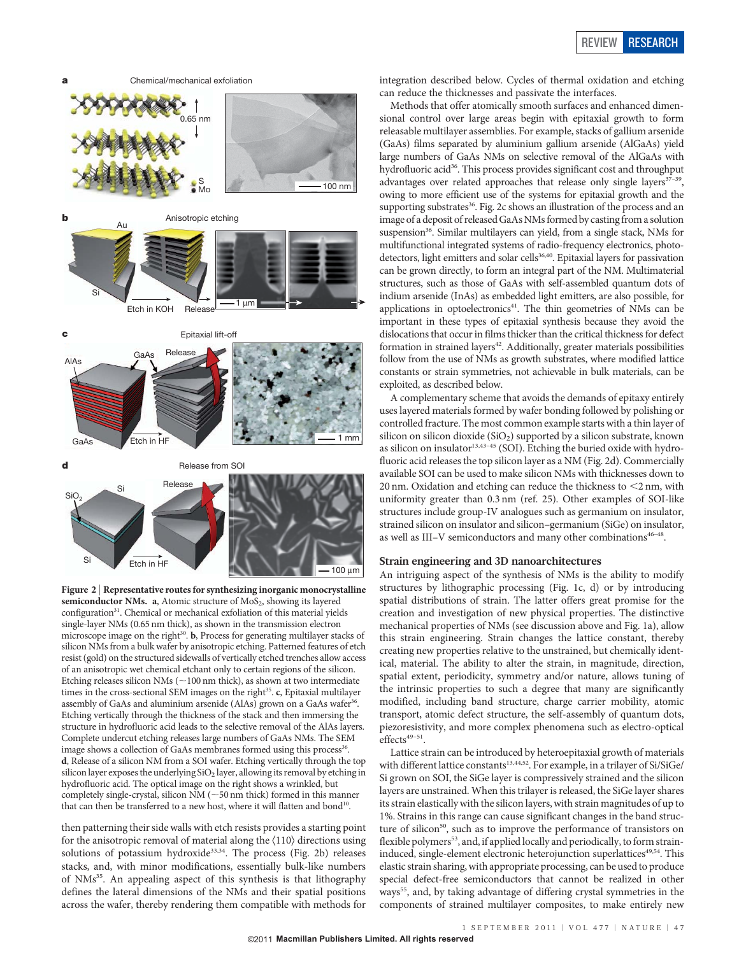

Figure 2 <sup>|</sup> Representative routes for synthesizing inorganic monocrystalline semiconductor NMs. a, Atomic structure of MoS<sub>2</sub>, showing its layered configuration<sup>31</sup>. Chemical or mechanical exfoliation of this material yields single-layer NMs (0.65 nm thick), as shown in the transmission electron microscope image on the right<sup>30</sup>. b, Process for generating multilayer stacks of silicon NMs from a bulk wafer by anisotropic etching. Patterned features of etch resist (gold) on the structured sidewalls of vertically etched trenches allow access of an anisotropic wet chemical etchant only to certain regions of the silicon. Etching releases silicon NMs ( $\sim$ 100 nm thick), as shown at two intermediate times in the cross-sectional SEM images on the right<sup>35</sup>. c, Epitaxial multilayer assembly of GaAs and aluminium arsenide (AlAs) grown on a GaAs wafer<sup>36</sup>. Etching vertically through the thickness of the stack and then immersing the structure in hydrofluoric acid leads to the selective removal of the AlAs layers. Complete undercut etching releases large numbers of GaAs NMs. The SEM image shows a collection of GaAs membranes formed using this process<sup>36</sup>. d, Release of a silicon NM from a SOI wafer. Etching vertically through the top silicon layer exposes the underlying  $SiO<sub>2</sub>$  layer, allowing its removal by etching in hydrofluoric acid. The optical image on the right shows a wrinkled, but completely single-crystal, silicon NM ( $\sim$ 50 nm thick) formed in this manner that can then be transferred to a new host, where it will flatten and bond<sup>10</sup>.

then patterning their side walls with etch resists provides a starting point for the anisotropic removal of material along the  $\langle 110 \rangle$  directions using solutions of potassium hydroxide<sup>33,34</sup>. The process (Fig. 2b) releases stacks, and, with minor modifications, essentially bulk-like numbers of NMs<sup>35</sup>. An appealing aspect of this synthesis is that lithography defines the lateral dimensions of the NMs and their spatial positions across the wafer, thereby rendering them compatible with methods for integration described below. Cycles of thermal oxidation and etching can reduce the thicknesses and passivate the interfaces.

Methods that offer atomically smooth surfaces and enhanced dimensional control over large areas begin with epitaxial growth to form releasable multilayer assemblies. For example, stacks of gallium arsenide (GaAs) films separated by aluminium gallium arsenide (AlGaAs) yield large numbers of GaAs NMs on selective removal of the AlGaAs with hydrofluoric acid<sup>36</sup>. This process provides significant cost and throughput advantages over related approaches that release only single layers $37-39$ , owing to more efficient use of the systems for epitaxial growth and the supporting substrates<sup>36</sup>. Fig. 2c shows an illustration of the process and an image of a deposit of released GaAs NMs formed by casting from a solution suspension<sup>36</sup>. Similar multilayers can yield, from a single stack, NMs for multifunctional integrated systems of radio-frequency electronics, photodetectors, light emitters and solar cells<sup>36,40</sup>. Epitaxial layers for passivation can be grown directly, to form an integral part of the NM. Multimaterial structures, such as those of GaAs with self-assembled quantum dots of indium arsenide (InAs) as embedded light emitters, are also possible, for applications in optoelectronics $41$ . The thin geometries of NMs can be important in these types of epitaxial synthesis because they avoid the dislocations that occur in films thicker than the critical thickness for defect formation in strained layers<sup>42</sup>. Additionally, greater materials possibilities follow from the use of NMs as growth substrates, where modified lattice constants or strain symmetries, not achievable in bulk materials, can be exploited, as described below.

A complementary scheme that avoids the demands of epitaxy entirely uses layered materials formed by wafer bonding followed by polishing or controlled fracture. The most common example starts with a thin layer of silicon on silicon dioxide (SiO<sub>2</sub>) supported by a silicon substrate, known as silicon on insulator<sup>13,43-45</sup> (SOI). Etching the buried oxide with hydrofluoric acid releases the top silicon layer as a NM (Fig. 2d). Commercially available SOI can be used to make silicon NMs with thicknesses down to 20 nm. Oxidation and etching can reduce the thickness to  $\leq$ 2 nm, with uniformity greater than 0.3 nm (ref. 25). Other examples of SOI-like structures include group-IV analogues such as germanium on insulator, strained silicon on insulator and silicon–germanium (SiGe) on insulator, as well as III–V semiconductors and many other combinations<sup>46-48</sup>.

#### Strain engineering and 3D nanoarchitectures

An intriguing aspect of the synthesis of NMs is the ability to modify structures by lithographic processing (Fig. 1c, d) or by introducing spatial distributions of strain. The latter offers great promise for the creation and investigation of new physical properties. The distinctive mechanical properties of NMs (see discussion above and Fig. 1a), allow this strain engineering. Strain changes the lattice constant, thereby creating new properties relative to the unstrained, but chemically identical, material. The ability to alter the strain, in magnitude, direction, spatial extent, periodicity, symmetry and/or nature, allows tuning of the intrinsic properties to such a degree that many are significantly modified, including band structure, charge carrier mobility, atomic transport, atomic defect structure, the self-assembly of quantum dots, piezoresistivity, and more complex phenomena such as electro-optical  $effects<sup>49-51</sup>.$ 

Lattice strain can be introduced by heteroepitaxial growth of materials with different lattice constants<sup>13,44,52</sup>. For example, in a trilayer of Si/SiGe/ Si grown on SOI, the SiGe layer is compressively strained and the silicon layers are unstrained. When this trilayer is released, the SiGe layer shares its strain elastically with the silicon layers, with strain magnitudes of up to 1%. Strains in this range can cause significant changes in the band structure of silicon<sup>50</sup>, such as to improve the performance of transistors on flexible polymers<sup>53</sup>, and, if applied locally and periodically, to form straininduced, single-element electronic heterojunction superlattices<sup>49,54</sup>. This elastic strain sharing, with appropriate processing, can be used to produce special defect-free semiconductors that cannot be realized in other ways<sup>55</sup>, and, by taking advantage of differing crystal symmetries in the components of strained multilayer composites, to make entirely new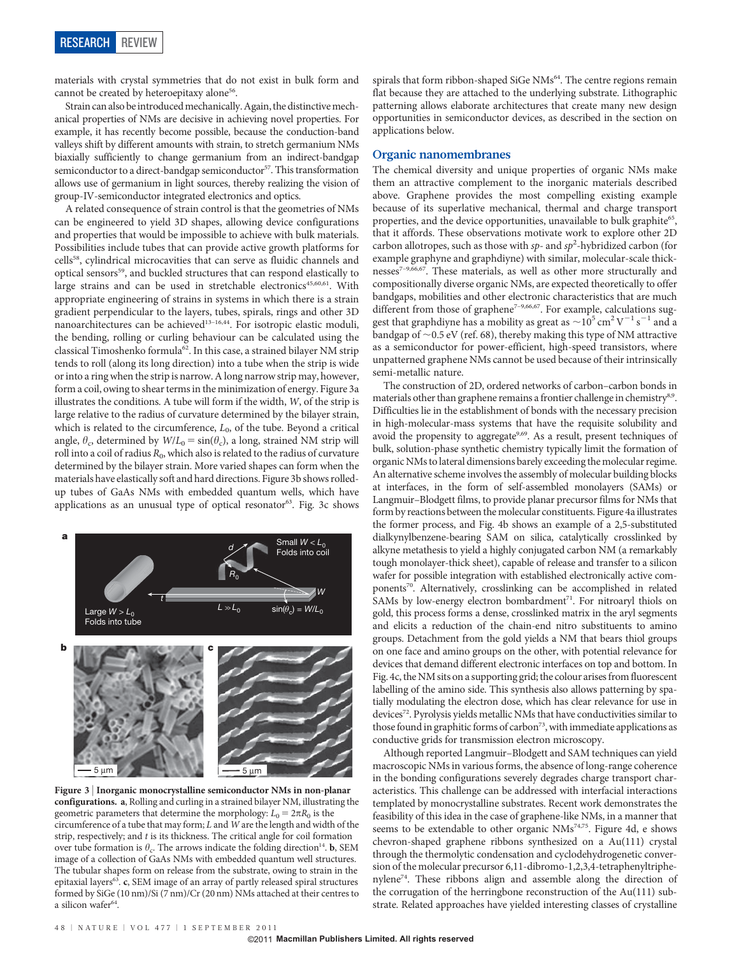materials with crystal symmetries that do not exist in bulk form and cannot be created by heteroepitaxy alone<sup>56</sup>.

Strain can also be introduced mechanically. Again, the distinctive mechanical properties of NMs are decisive in achieving novel properties. For example, it has recently become possible, because the conduction-band valleys shift by different amounts with strain, to stretch germanium NMs biaxially sufficiently to change germanium from an indirect-bandgap semiconductor to a direct-bandgap semiconductor<sup>57</sup>. This transformation allows use of germanium in light sources, thereby realizing the vision of group-IV-semiconductor integrated electronics and optics.

A related consequence of strain control is that the geometries of NMs can be engineered to yield 3D shapes, allowing device configurations and properties that would be impossible to achieve with bulk materials. Possibilities include tubes that can provide active growth platforms for cells58, cylindrical microcavities that can serve as fluidic channels and optical sensors<sup>59</sup>, and buckled structures that can respond elastically to large strains and can be used in stretchable electronics<sup>45,60,61</sup>. With appropriate engineering of strains in systems in which there is a strain gradient perpendicular to the layers, tubes, spirals, rings and other 3D nanoarchitectures can be achieved<sup>13-16,44</sup>. For isotropic elastic moduli, the bending, rolling or curling behaviour can be calculated using the classical Timoshenko formula<sup>62</sup>. In this case, a strained bilayer NM strip tends to roll (along its long direction) into a tube when the strip is wide or into a ring when the strip is narrow. A long narrow strip may, however, form a coil, owing to shear terms in the minimization of energy. Figure 3a illustrates the conditions. A tube will form if the width, W, of the strip is large relative to the radius of curvature determined by the bilayer strain, which is related to the circumference,  $L_0$ , of the tube. Beyond a critical angle,  $\theta_c$ , determined by  $W/L_0 = \sin(\theta_c)$ , a long, strained NM strip will roll into a coil of radius  $R_0$ , which also is related to the radius of curvature determined by the bilayer strain. More varied shapes can form when the materials have elastically soft and hard directions. Figure 3b shows rolledup tubes of GaAs NMs with embedded quantum wells, which have applications as an unusual type of optical resonator $63$ . Fig. 3c shows



Figure 3 <sup>|</sup> Inorganic monocrystalline semiconductor NMs in non-planar configurations. a, Rolling and curling in a strained bilayer NM, illustrating the geometric parameters that determine the morphology:  $L_0 = 2\pi R_0$  is the circumference of a tube that may form;  $L$  and  $W$  are the length and width of the strip, respectively; and t is its thickness. The critical angle for coil formation over tube formation is  $\theta_c$ . The arrows indicate the folding direction<sup>14</sup>. **b**, SEM image of a collection of GaAs NMs with embedded quantum well structures. The tubular shapes form on release from the substrate, owing to strain in the epitaxial layers $63$ . c, SEM image of an array of partly released spiral structures formed by SiGe (10 nm)/Si (7 nm)/Cr (20 nm) NMs attached at their centres to a silicon wafer<sup>64</sup>.

spirals that form ribbon-shaped SiGe NMs<sup>64</sup>. The centre regions remain flat because they are attached to the underlying substrate. Lithographic patterning allows elaborate architectures that create many new design opportunities in semiconductor devices, as described in the section on applications below.

#### Organic nanomembranes

The chemical diversity and unique properties of organic NMs make them an attractive complement to the inorganic materials described above. Graphene provides the most compelling existing example because of its superlative mechanical, thermal and charge transport properties, and the device opportunities, unavailable to bulk graphite<sup>65</sup>, that it affords. These observations motivate work to explore other 2D carbon allotropes, such as those with sp- and sp<sup>2</sup>-hybridized carbon (for example graphyne and graphdiyne) with similar, molecular-scale thicknesses7–9,66,67. These materials, as well as other more structurally and compositionally diverse organic NMs, are expected theoretically to offer bandgaps, mobilities and other electronic characteristics that are much different from those of graphene<sup> $7-9,66,67$ </sup>. For example, calculations suggest that graphdiyne has a mobility as great as  $\sim 10^5$  cm<sup>2</sup> V<sup>-1</sup> s<sup>-1</sup> and a bandgap of  $\sim$  0.5 eV (ref. 68), thereby making this type of NM attractive as a semiconductor for power-efficient, high-speed transistors, where unpatterned graphene NMs cannot be used because of their intrinsically semi-metallic nature.

The construction of 2D, ordered networks of carbon–carbon bonds in materials other than graphene remains a frontier challenge in chemistry<sup>8,9</sup>. Difficulties lie in the establishment of bonds with the necessary precision in high-molecular-mass systems that have the requisite solubility and avoid the propensity to aggregate<sup>9,69</sup>. As a result, present techniques of bulk, solution-phase synthetic chemistry typically limit the formation of organic NMs to lateral dimensions barely exceeding the molecular regime. An alternative scheme involves the assembly of molecular building blocks at interfaces, in the form of self-assembled monolayers (SAMs) or Langmuir–Blodgett films, to provide planar precursor films for NMs that form by reactions between the molecular constituents. Figure 4a illustrates the former process, and Fig. 4b shows an example of a 2,5-substituted dialkynylbenzene-bearing SAM on silica, catalytically crosslinked by alkyne metathesis to yield a highly conjugated carbon NM (a remarkably tough monolayer-thick sheet), capable of release and transfer to a silicon wafer for possible integration with established electronically active components<sup>70</sup>. Alternatively, crosslinking can be accomplished in related SAMs by low-energy electron bombardment<sup> $71$ </sup>. For nitroaryl thiols on gold, this process forms a dense, crosslinked matrix in the aryl segments and elicits a reduction of the chain-end nitro substituents to amino groups. Detachment from the gold yields a NM that bears thiol groups on one face and amino groups on the other, with potential relevance for devices that demand different electronic interfaces on top and bottom. In Fig. 4c, the NM sits on a supporting grid; the colour arises fromfluorescent labelling of the amino side. This synthesis also allows patterning by spatially modulating the electron dose, which has clear relevance for use in devices<sup>72</sup>. Pyrolysis yields metallic NMs that have conductivities similar to those found in graphitic forms of carbon<sup>73</sup>, with immediate applications as conductive grids for transmission electron microscopy.

Although reported Langmuir–Blodgett and SAM techniques can yield macroscopic NMs in various forms, the absence of long-range coherence in the bonding configurations severely degrades charge transport characteristics. This challenge can be addressed with interfacial interactions templated by monocrystalline substrates. Recent work demonstrates the feasibility of this idea in the case of graphene-like NMs, in a manner that seems to be extendable to other organic NMs<sup>74,75</sup>. Figure 4d, e shows chevron-shaped graphene ribbons synthesized on a Au(111) crystal through the thermolytic condensation and cyclodehydrogenetic conversion of the molecular precursor 6,11-dibromo-1,2,3,4-tetraphenyltriphenylene74. These ribbons align and assemble along the direction of the corrugation of the herringbone reconstruction of the Au(111) substrate. Related approaches have yielded interesting classes of crystalline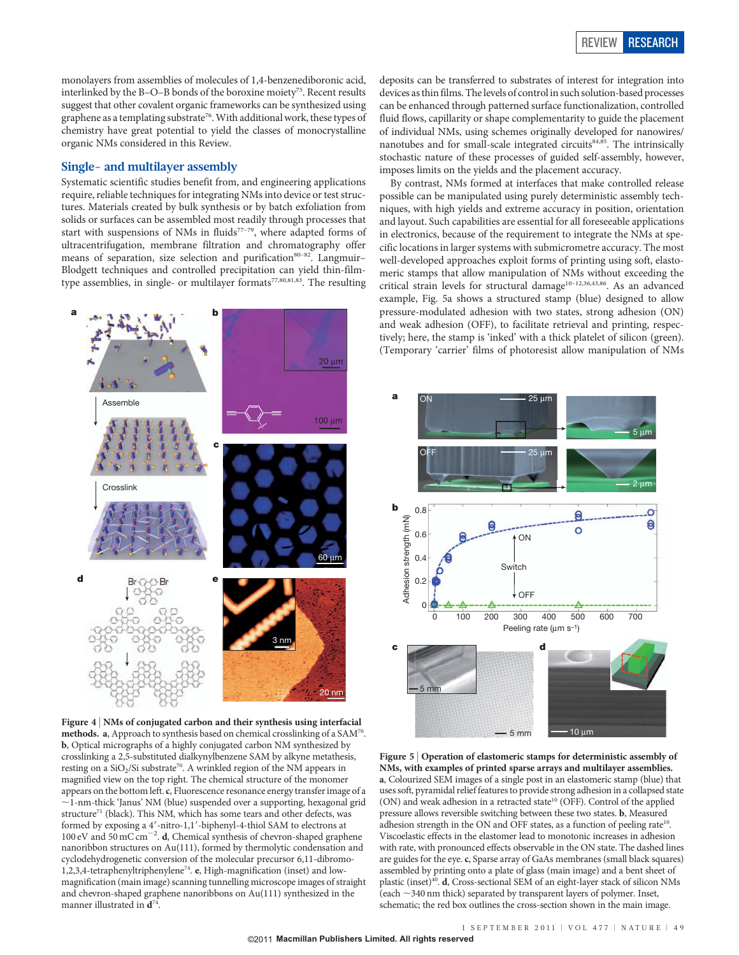monolayers from assemblies of molecules of 1,4-benzenediboronic acid, interlinked by the B-O-B bonds of the boroxine moiety<sup>75</sup>. Recent results suggest that other covalent organic frameworks can be synthesized using graphene as a templating substrate<sup>76</sup>. With additional work, these types of chemistry have great potential to yield the classes of monocrystalline organic NMs considered in this Review.

# Single- and multilayer assembly

Systematic scientific studies benefit from, and engineering applications require, reliable techniques for integrating NMs into device or test structures. Materials created by bulk synthesis or by batch exfoliation from solids or surfaces can be assembled most readily through processes that start with suspensions of NMs in fluids $77-79$ , where adapted forms of ultracentrifugation, membrane filtration and chromatography offer means of separation, size selection and purification<sup>80-82</sup>. Langmuir-Blodgett techniques and controlled precipitation can yield thin-filmtype assemblies, in single- or multilayer formats<sup>77,80,81,83</sup>. The resulting



Figure 4 <sup>|</sup> NMs of conjugated carbon and their synthesis using interfacial methods. a, Approach to synthesis based on chemical crosslinking of a SAM70. b, Optical micrographs of a highly conjugated carbon NM synthesized by crosslinking a 2,5-substituted dialkynylbenzene SAM by alkyne metathesis, resting on a  $SiO<sub>2</sub>/Si$  substrate<sup>70</sup>. A wrinkled region of the NM appears in magnified view on the top right. The chemical structure of the monomer appears on the bottom left. c, Fluorescence resonance energy transfer image of a  $\sim$ 1-nm-thick 'Janus' NM (blue) suspended over a supporting, hexagonal grid structure<sup>71</sup> (black). This NM, which has some tears and other defects, was formed by exposing a 4'-nitro-1,1'-biphenyl-4-thiol SAM to electrons at 100 eV and 50 mC cm<sup>-2</sup>. d, Chemical synthesis of chevron-shaped graphene nanoribbon structures on Au(111), formed by thermolytic condensation and cyclodehydrogenetic conversion of the molecular precursor 6,11-dibromo-1,2,3,4-tetraphenyltriphenylene<sup>74</sup>. e, High-magnification (inset) and lowmagnification (main image) scanning tunnelling microscope images of straight and chevron-shaped graphene nanoribbons on Au(111) synthesized in the manner illustrated in  $\mathbf{d}^{74}$ 

deposits can be transferred to substrates of interest for integration into devices as thin films. The levels of control in such solution-based processes can be enhanced through patterned surface functionalization, controlled fluid flows, capillarity or shape complementarity to guide the placement of individual NMs, using schemes originally developed for nanowires/ nanotubes and for small-scale integrated circuits<sup>84,85</sup>. The intrinsically stochastic nature of these processes of guided self-assembly, however, imposes limits on the yields and the placement accuracy.

By contrast, NMs formed at interfaces that make controlled release possible can be manipulated using purely deterministic assembly techniques, with high yields and extreme accuracy in position, orientation and layout. Such capabilities are essential for all foreseeable applications in electronics, because of the requirement to integrate the NMs at specific locations in larger systems with submicrometre accuracy. The most well-developed approaches exploit forms of printing using soft, elastomeric stamps that allow manipulation of NMs without exceeding the critical strain levels for structural damage<sup>10-12,36,43,86</sup>. As an advanced example, Fig. 5a shows a structured stamp (blue) designed to allow pressure-modulated adhesion with two states, strong adhesion (ON) and weak adhesion (OFF), to facilitate retrieval and printing, respectively; here, the stamp is 'inked' with a thick platelet of silicon (green). (Temporary 'carrier' films of photoresist allow manipulation of NMs



Figure 5 <sup>|</sup> Operation of elastomeric stamps for deterministic assembly of NMs, with examples of printed sparse arrays and multilayer assemblies. a, Colourized SEM images of a single post in an elastomeric stamp (blue) that uses soft, pyramidal relief features to provide strong adhesion in a collapsed state (ON) and weak adhesion in a retracted state<sup>10</sup> (OFF). Control of the applied pressure allows reversible switching between these two states. b, Measured adhesion strength in the ON and OFF states, as a function of peeling rate<sup>10</sup>. Viscoelastic effects in the elastomer lead to monotonic increases in adhesion with rate, with pronounced effects observable in the ON state. The dashed lines are guides for the eye. c, Sparse array of GaAs membranes (small black squares) assembled by printing onto a plate of glass (main image) and a bent sheet of plastic (inset)<sup>40</sup>. d, Cross-sectional SEM of an eight-layer stack of silicon NMs (each  $\sim$  340 nm thick) separated by transparent layers of polymer. Inset, schematic; the red box outlines the cross-section shown in the main image.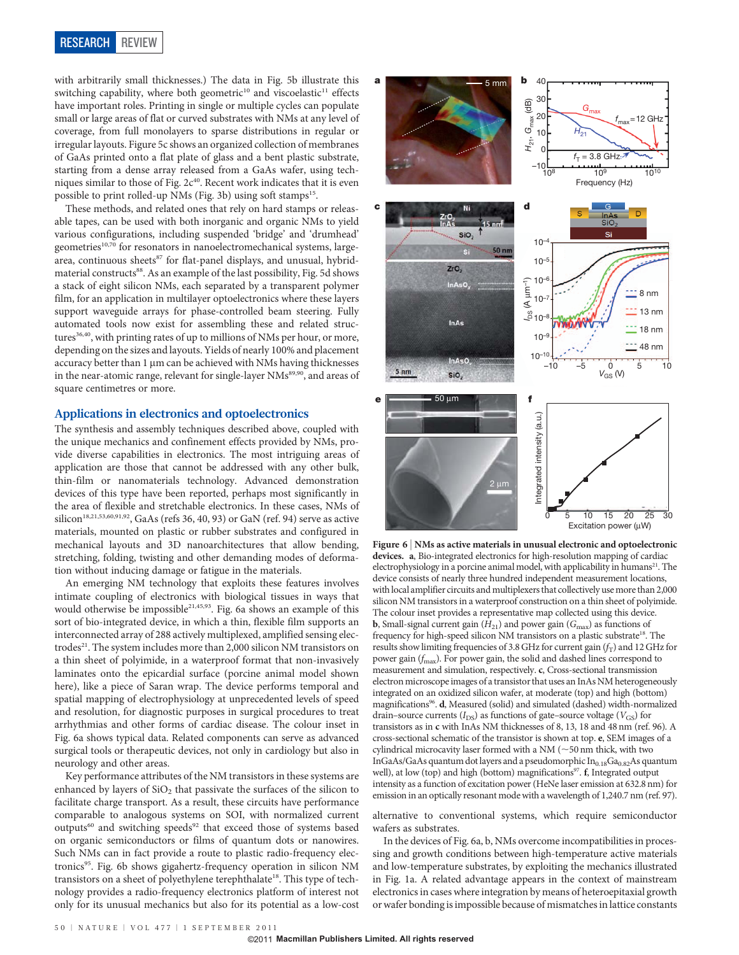with arbitrarily small thicknesses.) The data in Fig. 5b illustrate this switching capability, where both geometric<sup>10</sup> and viscoelastic<sup>11</sup> effects have important roles. Printing in single or multiple cycles can populate small or large areas of flat or curved substrates with NMs at any level of coverage, from full monolayers to sparse distributions in regular or irregular layouts. Figure 5c shows an organized collection of membranes of GaAs printed onto a flat plate of glass and a bent plastic substrate, starting from a dense array released from a GaAs wafer, using techniques similar to those of Fig.  $2c^{40}$ . Recent work indicates that it is even possible to print rolled-up NMs (Fig. 3b) using soft stamps<sup>15</sup>.

These methods, and related ones that rely on hard stamps or releasable tapes, can be used with both inorganic and organic NMs to yield various configurations, including suspended 'bridge' and 'drumhead' geometries<sup>10,70</sup> for resonators in nanoelectromechanical systems, largearea, continuous sheets<sup>87</sup> for flat-panel displays, and unusual, hybridmaterial constructs<sup>88</sup>. As an example of the last possibility, Fig. 5d shows a stack of eight silicon NMs, each separated by a transparent polymer film, for an application in multilayer optoelectronics where these layers support waveguide arrays for phase-controlled beam steering. Fully automated tools now exist for assembling these and related structures<sup>36,40</sup>, with printing rates of up to millions of NMs per hour, or more, depending on the sizes and layouts. Yields of nearly 100% and placement accuracy better than 1 µm can be achieved with NMs having thicknesses in the near-atomic range, relevant for single-layer NMs<sup>89,90</sup>, and areas of square centimetres or more.

## Applications in electronics and optoelectronics

The synthesis and assembly techniques described above, coupled with the unique mechanics and confinement effects provided by NMs, provide diverse capabilities in electronics. The most intriguing areas of application are those that cannot be addressed with any other bulk, thin-film or nanomaterials technology. Advanced demonstration devices of this type have been reported, perhaps most significantly in the area of flexible and stretchable electronics. In these cases, NMs of  $\text{silicon}^{18,21,53,60,91,92}, \text{GaAs}$  (refs 36, 40, 93) or GaN (ref. 94) serve as active materials, mounted on plastic or rubber substrates and configured in mechanical layouts and 3D nanoarchitectures that allow bending, stretching, folding, twisting and other demanding modes of deformation without inducing damage or fatigue in the materials.

An emerging NM technology that exploits these features involves intimate coupling of electronics with biological tissues in ways that would otherwise be impossible<sup>21,45,93</sup>. Fig. 6a shows an example of this sort of bio-integrated device, in which a thin, flexible film supports an interconnected array of 288 actively multiplexed, amplified sensing electrodes<sup>21</sup>. The system includes more than 2,000 silicon NM transistors on a thin sheet of polyimide, in a waterproof format that non-invasively laminates onto the epicardial surface (porcine animal model shown here), like a piece of Saran wrap. The device performs temporal and spatial mapping of electrophysiology at unprecedented levels of speed and resolution, for diagnostic purposes in surgical procedures to treat arrhythmias and other forms of cardiac disease. The colour inset in Fig. 6a shows typical data. Related components can serve as advanced surgical tools or therapeutic devices, not only in cardiology but also in neurology and other areas.

Key performance attributes of the NM transistors in these systems are enhanced by layers of  $SiO<sub>2</sub>$  that passivate the surfaces of the silicon to facilitate charge transport. As a result, these circuits have performance comparable to analogous systems on SOI, with normalized current outputs<sup>60</sup> and switching speeds<sup>92</sup> that exceed those of systems based on organic semiconductors or films of quantum dots or nanowires. Such NMs can in fact provide a route to plastic radio-frequency electronics<sup>95</sup>. Fig. 6b shows gigahertz-frequency operation in silicon NM transistors on a sheet of polyethylene terephthalate<sup>18</sup>. This type of technology provides a radio-frequency electronics platform of interest not only for its unusual mechanics but also for its potential as a low-cost



Figure 6 <sup>|</sup> NMs as active materials in unusual electronic and optoelectronic devices. a, Bio-integrated electronics for high-resolution mapping of cardiac electrophysiology in a porcine animal model, with applicability in humans<sup>21</sup>. The device consists of nearly three hundred independent measurement locations, with local amplifier circuits and multiplexers that collectively use more than 2,000 silicon NM transistors in a waterproof construction on a thin sheet of polyimide. The colour inset provides a representative map collected using this device. **b**, Small-signal current gain  $(H_{21})$  and power gain  $(G_{\text{max}})$  as functions of frequency for high-speed silicon NM transistors on a plastic substrate<sup>18</sup>. The results show limiting frequencies of 3.8 GHz for current gain  $(f<sub>T</sub>)$  and 12 GHz for power gain  $(f_{\text{max}})$ . For power gain, the solid and dashed lines correspond to measurement and simulation, respectively. c, Cross-sectional transmission electron microscope images of a transistor that uses an InAs NM heterogeneously integrated on an oxidized silicon wafer, at moderate (top) and high (bottom) magnifications<sup>96</sup>. d, Measured (solid) and simulated (dashed) width-normalized drain–source currents  $(I_{DS})$  as functions of gate–source voltage ( $V_{GS}$ ) for transistors as in c with InAs NM thicknesses of 8, 13, 18 and 48 nm (ref. 96). A cross-sectional schematic of the transistor is shown at top. e, SEM images of a cylindrical microcavity laser formed with a NM ( $\sim$ 50 nm thick, with two InGaAs/GaAs quantum dot layers and a pseudomorphic  $In<sub>0.18</sub>Ga<sub>0.82</sub>As$  quantum well), at low (top) and high (bottom) magnifications<sup>97</sup>. f, Integrated output intensity as a function of excitation power (HeNe laser emission at 632.8 nm) for emission in an optically resonant mode with a wavelength of 1,240.7 nm (ref. 97).

alternative to conventional systems, which require semiconductor wafers as substrates.

In the devices of Fig. 6a, b, NMs overcome incompatibilities in processing and growth conditions between high-temperature active materials and low-temperature substrates, by exploiting the mechanics illustrated in Fig. 1a. A related advantage appears in the context of mainstream electronics in cases where integration by means of heteroepitaxial growth or wafer bonding is impossible because of mismatches in lattice constants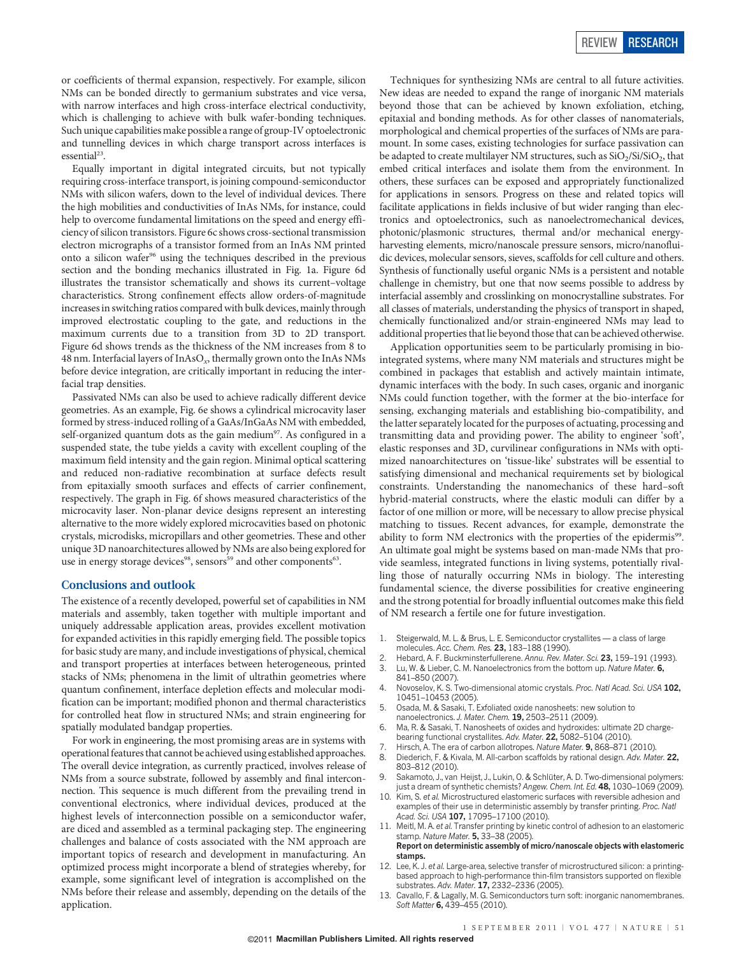or coefficients of thermal expansion, respectively. For example, silicon NMs can be bonded directly to germanium substrates and vice versa, with narrow interfaces and high cross-interface electrical conductivity, which is challenging to achieve with bulk wafer-bonding techniques. Such unique capabilities make possible a range of group-IV optoelectronic and tunnelling devices in which charge transport across interfaces is essential $^{23}$ .

Equally important in digital integrated circuits, but not typically requiring cross-interface transport, is joining compound-semiconductor NMs with silicon wafers, down to the level of individual devices. There the high mobilities and conductivities of InAs NMs, for instance, could help to overcome fundamental limitations on the speed and energy efficiency of silicon transistors. Figure 6c shows cross-sectional transmission electron micrographs of a transistor formed from an InAs NM printed onto a silicon wafer<sup>96</sup> using the techniques described in the previous section and the bonding mechanics illustrated in Fig. 1a. Figure 6d illustrates the transistor schematically and shows its current–voltage characteristics. Strong confinement effects allow orders-of-magnitude increases in switching ratios compared with bulk devices, mainly through improved electrostatic coupling to the gate, and reductions in the maximum currents due to a transition from 3D to 2D transport. Figure 6d shows trends as the thickness of the NM increases from 8 to 48 nm. Interfacial layers of InAs $O_x$ , thermally grown onto the InAs NMs before device integration, are critically important in reducing the interfacial trap densities.

Passivated NMs can also be used to achieve radically different device geometries. As an example, Fig. 6e shows a cylindrical microcavity laser formed by stress-induced rolling of a GaAs/InGaAs NM with embedded, self-organized quantum dots as the gain medium $97$ . As configured in a suspended state, the tube yields a cavity with excellent coupling of the maximum field intensity and the gain region. Minimal optical scattering and reduced non-radiative recombination at surface defects result from epitaxially smooth surfaces and effects of carrier confinement, respectively. The graph in Fig. 6f shows measured characteristics of the microcavity laser. Non-planar device designs represent an interesting alternative to the more widely explored microcavities based on photonic crystals, microdisks, micropillars and other geometries. These and other unique 3D nanoarchitectures allowed by NMs are also being explored for use in energy storage devices<sup>98</sup>, sensors<sup>59</sup> and other components<sup>63</sup>.

## Conclusions and outlook

The existence of a recently developed, powerful set of capabilities in NM materials and assembly, taken together with multiple important and uniquely addressable application areas, provides excellent motivation for expanded activities in this rapidly emerging field. The possible topics for basic study are many, and include investigations of physical, chemical and transport properties at interfaces between heterogeneous, printed stacks of NMs; phenomena in the limit of ultrathin geometries where quantum confinement, interface depletion effects and molecular modification can be important; modified phonon and thermal characteristics for controlled heat flow in structured NMs; and strain engineering for spatially modulated bandgap properties.

For work in engineering, the most promising areas are in systems with operational features that cannot be achieved using established approaches. The overall device integration, as currently practiced, involves release of NMs from a source substrate, followed by assembly and final interconnection. This sequence is much different from the prevailing trend in conventional electronics, where individual devices, produced at the highest levels of interconnection possible on a semiconductor wafer, are diced and assembled as a terminal packaging step. The engineering challenges and balance of costs associated with the NM approach are important topics of research and development in manufacturing. An optimized process might incorporate a blend of strategies whereby, for example, some significant level of integration is accomplished on the NMs before their release and assembly, depending on the details of the application.

Techniques for synthesizing NMs are central to all future activities. New ideas are needed to expand the range of inorganic NM materials beyond those that can be achieved by known exfoliation, etching, epitaxial and bonding methods. As for other classes of nanomaterials, morphological and chemical properties of the surfaces of NMs are paramount. In some cases, existing technologies for surface passivation can be adapted to create multilayer NM structures, such as  $SiO<sub>2</sub>/Si/SiO<sub>2</sub>$ , that embed critical interfaces and isolate them from the environment. In others, these surfaces can be exposed and appropriately functionalized for applications in sensors. Progress on these and related topics will facilitate applications in fields inclusive of but wider ranging than electronics and optoelectronics, such as nanoelectromechanical devices, photonic/plasmonic structures, thermal and/or mechanical energyharvesting elements, micro/nanoscale pressure sensors, micro/nanofluidic devices, molecular sensors, sieves, scaffolds for cell culture and others. Synthesis of functionally useful organic NMs is a persistent and notable challenge in chemistry, but one that now seems possible to address by interfacial assembly and crosslinking on monocrystalline substrates. For all classes of materials, understanding the physics of transport in shaped, chemically functionalized and/or strain-engineered NMs may lead to additional properties that lie beyond those that can be achieved otherwise.

Application opportunities seem to be particularly promising in biointegrated systems, where many NM materials and structures might be combined in packages that establish and actively maintain intimate, dynamic interfaces with the body. In such cases, organic and inorganic NMs could function together, with the former at the bio-interface for sensing, exchanging materials and establishing bio-compatibility, and the latter separately located for the purposes of actuating, processing and transmitting data and providing power. The ability to engineer 'soft', elastic responses and 3D, curvilinear configurations in NMs with optimized nanoarchitectures on 'tissue-like' substrates will be essential to satisfying dimensional and mechanical requirements set by biological constraints. Understanding the nanomechanics of these hard–soft hybrid-material constructs, where the elastic moduli can differ by a factor of one million or more, will be necessary to allow precise physical matching to tissues. Recent advances, for example, demonstrate the ability to form NM electronics with the properties of the epidermis<sup>99</sup>. An ultimate goal might be systems based on man-made NMs that provide seamless, integrated functions in living systems, potentially rivalling those of naturally occurring NMs in biology. The interesting fundamental science, the diverse possibilities for creative engineering and the strong potential for broadly influential outcomes make this field of NM research a fertile one for future investigation.

- 1. Steigerwald, M. L. & Brus, L. E. Semiconductor crystallites a class of large molecules. Acc. Chem. Res. 23, 183–188 (1990).
- 2. Hebard, A. F. Buckminsterfullerene. Annu. Rev. Mater. Sci. 23, 159–191 (1993).<br>3. Lu. W. & Lieber. C. M. Nanoelectronics from the bottom up. Nature Mater. 6.
- Lu, W. & Lieber, C. M. Nanoelectronics from the bottom up. Nature Mater. 6, 841–850 (2007).
- 4. Novoselov, K. S. Two-dimensional atomic crystals. Proc. Natl Acad. Sci. USA 102, 10451–10453 (2005).
- 5. Osada, M. & Sasaki, T. Exfoliated oxide nanosheets: new solution to nanoelectronics. J. Mater. Chem. **19,** 2503-2511 (2009).
- 6. Ma, R. & Sasaki, T. Nanosheets of oxides and hydroxides: ultimate 2D chargebearing functional crystallites. Adv. Mater. 22, 5082-5104 (2010).
- 7. Hirsch, A. The era of carbon allotropes. Nature Mater. 9, 868-871 (2010).
- 8. Diederich, F. & Kivala, M. All-carbon scaffolds by rational design. Adv. Mater. 22, 803–812 (2010).
- 9. Sakamoto, J., van Heijst, J., Lukin, O. & Schlüter, A. D. Two-dimensional polymers: just a dream of synthetic chemists? Angew. Chem. Int. Ed. 48, 1030-1069 (2009).
- 10. Kim, S. et al. Microstructured elastomeric surfaces with reversible adhesion and examples of their use in deterministic assembly by transfer printing. Proc. Natl Acad. Sci. USA 107, 17095-17100 (2010).
- 11. Meitl, M. A. et al. Transfer printing by kinetic control of adhesion to an elastomeric stamp. Nature Mater. **5,** 33-38 (2005).

Report on deterministic assembly of micro/nanoscale objects with elastomeric stamps.

- 12. Lee, K. J. et al. Large-area, selective transfer of microstructured silicon: a printingbased approach to high-performance thin-film transistors supported on flexible substrates. Adv. Mater. 17, 2332–2336 (2005).
- 13. Cavallo, F. & Lagally, M. G. Semiconductors turn soft: inorganic nanomembranes. Soft Matter **6.** 439-455 (2010).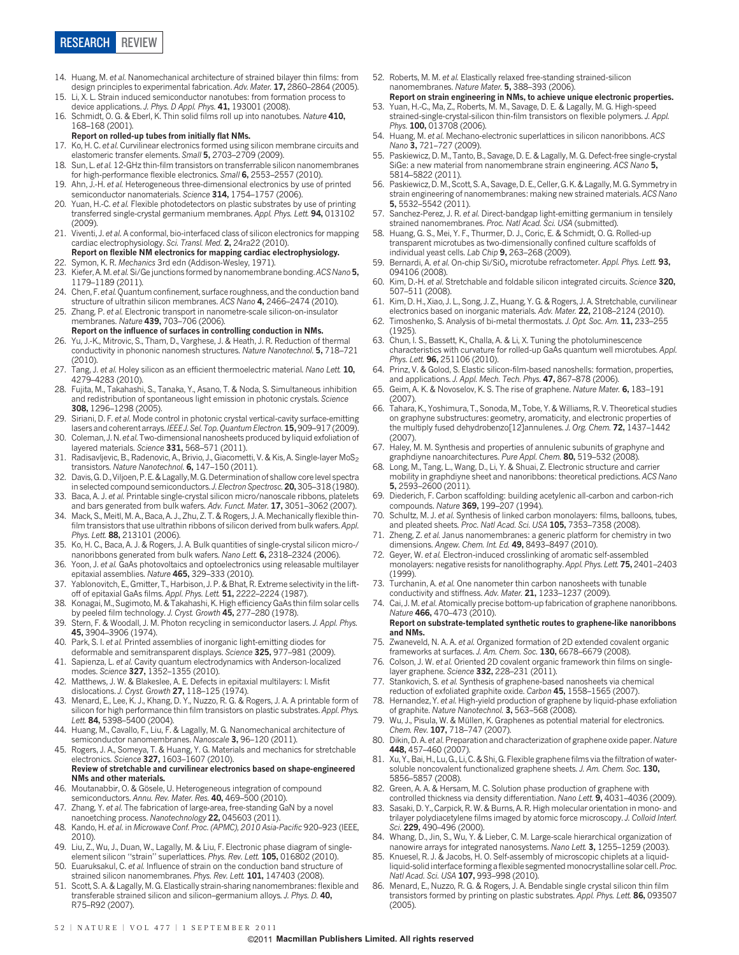# RESEARCH REVIEW

- 14. Huang, M. et al. Nanomechanical architecture of strained bilayer thin films: from design principles to experimental fabrication. Adv. Mater. 17, 2860–2864 (2005). 15. Li, X. L. Strain induced semiconductor nanotubes: from formation process to
- device applications. J. Phys. D Appl. Phys. 41, 193001 (2008). 16. Schmidt, O. G. & Eberl, K. Thin solid films roll up into nanotubes. Nature 410,
- 168–168 (2001). Report on rolled-up tubes from initially flat NMs.
- 17. Ko, H. C. et al. Curvilinear electronics formed using silicon membrane circuits and elastomeric transfer elements. Small 5, 2703–2709 (2009).
- 18. Sun, L. et al. 12-GHz thin-film transistors on transferrable silicon nanomembranes for high-performance flexible electronics. Small 6, 2553-2557 (2010)
- 19. Ahn, J.-H. et al. Heterogeneous three-dimensional electronics by use of printed semiconductor nanomaterials. Science 314, 1754-1757 (2006).
- 20. Yuan, H.-C. et al. Flexible photodetectors on plastic substrates by use of printing transferred single-crystal germanium membranes. Appl. Phys. Lett. 94, 013102 (2009).
- 21. Viventi, J. et al. A conformal, bio-interfaced class of silicon electronics for mapping cardiac electrophysiology. Sci. Transl. Med. 2, 24ra22 (2010).
- Report on flexible NM electronics for mapping cardiac electrophysiology. 22. Symon, K. R. Mechanics 3rd edn (Addison-Wesley, 1971).
- 23. Kiefer, A. M. et al. Si/Ge junctions formed by nanomembrane bonding. ACS Nano 5, 1179–1189 (2011).
- 24. Chen, F. et al. Quantum confinement, surface roughness, and the conduction band structure of ultrathin silicon membranes. ACS Nano 4, 2466-2474 (2010).
- Zhang, P. et al. Electronic transport in nanometre-scale silicon-on-insulator membranes. Nature 439, 703–706 (2006).
- Report on the influence of surfaces in controlling conduction in NMs. Yu, J.-K., Mitrovic, S., Tham, D., Varghese, J. & Heath, J. R. Reduction of thermal conductivity in phononic nanomesh structures. Nature Nanotechnol. 5, 718–721
- (2010). 27. Tang, J. et al. Holey silicon as an efficient thermoelectric material. Nano Lett. 10, 4279–4283 (2010).
- 28. Fujita, M., Takahashi, S., Tanaka, Y., Asano, T. & Noda, S. Simultaneous inhibition and redistribution of spontaneous light emission in photonic crystals. Science 308, 1296–1298 (2005).
- 29. Siriani, D. F. et al. Mode control in photonic crystal vertical-cavity surface-emitting lasers and coherent arrays. IEEE J. Sel. Top. Quantum Electron. 15, 909-917 (2009). 30. Coleman, J. N. et al. Two-dimensional nanosheets produced by liquid exfoliation of
- layered materials. Science 331, 568-571 (2011).
- 31. Radisavljevic, B., Radenovic, A., Brivio, J., Giacometti, V. & Kis, A. Single-layer MoS<sub>2</sub> transistors. Nature Nanotechnol. 6, 147-150 (2011).
- 32. Davis, G. D., Viljoen, P. E. & Lagally, M. G. Determination of shallow core level spectra in selected compound semiconductors. J. Electron Spectrosc. 20, 305-318 (1980). 33. Baca, A. J. et al. Printable single-crystal silicon micro/nanoscale ribbons, platelets
- and bars generated from bulk wafers. Adv. Funct. Mater. 17, 3051–3062 (2007). 34. Mack, S., Meitl, M. A., Baca, A. J., Zhu, Z. T. & Rogers, J. A. Mechanically flexible thin-
- film transistors that use ultrathin ribbons of silicon derived from bulk wafers. Appl. Phys. Lett. 88, 213101 (2006).
- 35. Ko, H. C., Baca, A. J. & Rogers, J. A. Bulk quantities of single-crystal silicon micro-/ nanoribbons generated from bulk wafers. Nano Lett. 6, 2318-2324 (2006).
- 36. Yoon, J. et al. GaAs photovoltaics and optoelectronics using releasable multilayer epitaxial assemblies. Nature 465, 329-333 (2010).
- 37. Yablonovitch, E., Gmitter, T., Harbison, J. P. & Bhat, R. Extreme selectivity in the liftoff of epitaxial GaAs films. Appl. Phys. Lett. 51, 2222-2224 (1987).
- 38. Konagai, M., Sugimoto, M. & Takahashi, K. High efficiency GaAs thin film solar cells by peeled film technology. J. Cryst. Growth 45, 277-280 (1978).
- 39. Stern, F. & Woodall, J. M. Photon recycling in semiconductor lasers. J. Appl. Phys. 45, 3904–3906 (1974).
- 40. Park, S. I. et al. Printed assemblies of inorganic light-emitting diodes for deformable and semitransparent displays. Science 325, 977-981 (2009).
- 41. Sapienza, L. et al. Cavity quantum electrodynamics with Anderson-localized modes. Science 327, 1352–1355 (2010).
- 42. Matthews, J. W. & Blakeslee, A. E. Defects in epitaxial multilayers: I. Misfit dislocations. J. Cryst. Growth 27, 118–125 (1974).
- 43. Menard, E., Lee, K. J., Khang, D. Y., Nuzzo, R. G. & Rogers, J. A. A printable form of silicon for high performance thin film transistors on plastic substrates. Appl. Phys. Lett. 84, 5398-5400 (2004).
- 44. Huang, M., Cavallo, F., Liu, F. & Lagally, M. G. Nanomechanical architecture of semiconductor nanomembranes. Nanoscale 3, 96-120 (2011).
- 45. Rogers, J. A., Someya, T. & Huang, Y. G. Materials and mechanics for stretchable electronics. Science 327, 1603-1607 (2010).
- Review of stretchable and curvilinear electronics based on shape-engineered NMs and other materials.
- 46. Moutanabbir, O. & Gösele, U. Heterogeneous integration of compound semiconductors. Annu. Rev. Mater. Res. 40, 469-500 (2010).
- Zhang, Y. et al. The fabrication of large-area, free-standing GaN by a novel nanoetching process. Nanotechnology 22, 045603 (2011).
- 48. Kando, H. et al. in Microwave Conf. Proc. (APMC), 2010 Asia-Pacific 920–923 (IEEE, 2010).
- 49. Liu, Z., Wu, J., Duan, W., Lagally, M. & Liu, F. Electronic phase diagram of singleelement silicon "strain" superlattices. Phys. Rev. Lett. 105, 016802 (2010).
- 50. Euaruksakul, C. et al. Influence of strain on the conduction band structure of strained silicon nanomembranes. Phys. Rev. Lett. 101, 147403 (2008).
- 51. Scott, S. A. & Lagally, M. G. Elastically strain-sharing nanomembranes: flexible and transferable strained silicon and silicon–germanium alloys. J. Phys. D. 40, R75–R92 (2007).
- 52. Roberts, M. M. et al. Elastically relaxed free-standing strained-silicon nanomembranes. Nature Mater. 5, 388–393 (2006).
- Report on strain engineering in NMs, to achieve unique electronic properties. 53. Yuan, H.-C., Ma, Z., Roberts, M. M., Savage, D. E. & Lagally, M. G. High-speed strained-single-crystal-silicon thin-film transistors on flexible polymers. J. Appl.
- Phys. 100, 013708 (2006). Huang, M. et al. Mechano-electronic superlattices in silicon nanoribbons. ACS
- Nano 3, 721–727 (2009). 55. Paskiewicz, D. M., Tanto, B., Savage, D. E. & Lagally, M. G. Defect-free single-crystal SiGe: a new material from nanomembrane strain engineering. ACS Nano 5, 5814–5822 (2011).
- 56. Paskiewicz, D. M., Scott, S. A., Savage, D. E., Celler, G. K. & Lagally, M. G. Symmetry in strain engineering of nanomembranes: making new strained materials. ACS Nano 5, 5532–5542 (2011).
- 57. Sanchez-Perez, J. R. et al. Direct-bandgap light-emitting germanium in tensilely<br>strained nanomembranes. Proc. Natl Acad. Sci. USA (submitted).
- 58. Huang, G. S., Mei, Y. F., Thurmer, D. J., Coric, E. & Schmidt, O. G. Rolled-up transparent microtubes as two-dimensionally confined culture scaffolds of individual yeast cells. Lab Chip 9, 263–268 (2009).
- 59. Bernardi, A. et al. On-chip Si/SiO<sub>x</sub> microtube refractometer. Appl. Phys. Lett. 93, 094106 (2008).
- 60. Kim, D.-H. et al. Stretchable and foldable silicon integrated circuits. Science 320, 507–511 (2008).
- 61. Kim, D. H., Xiao, J. L., Song, J. Z., Huang, Y. G. & Rogers, J. A. Stretchable, curvilinear electronics based on inorganic materials. Adv. Mater. 22, 2108-2124 (2010).
- 62. Timoshenko, S. Analysis of bi-metal thermostats. J. Opt. Soc. Am. 11, 233–255 (1925).
- 63. Chun, I. S., Bassett, K., Challa, A. & Li, X. Tuning the photoluminescence characteristics with curvature for rolled-up GaAs quantum well microtubes. Appl. Phys. Lett. 96, 251106 (2010).
- 64. Prinz, V. & Golod, S. Elastic silicon-film-based nanoshells: formation, properties, and applications. J. Appl. Mech. Tech. Phys. 47, 867–878 (2006).
- 65. Geim, A. K. & Novoselov, K. S. The rise of graphene. Nature Mater. 6, 183–191 (2007).
- 66. Tahara, K., Yoshimura, T., Sonoda, M., Tobe, Y. & Williams, R. V. Theoretical studies on graphyne substructures: geometry, aromaticity, and electronic properties of the multiply fused dehydrobenzo[12]annulenes. J. Org. Chem. 72, 1437-1442 (2007).
- 67. Haley, M. M. Synthesis and properties of annulenic subunits of graphyne and graphdiyne nanoarchitectures. Pure Appl. Chem. 80, 519-532 (2008).
- 68. Long, M., Tang, L., Wang, D., Li, Y. & Shuai, Z. Electronic structure and carrier mobility in graphdiyne sheet and nanoribbons: theoretical predictions. ACS Nano 5, 2593–2600 (2011).
- 69. Diederich, F. Carbon scaffolding: building acetylenic all-carbon and carbon-rich compounds. Nature 369, 199–207 (1994).
- 70. Schultz, M. J. et al. Synthesis of linked carbon monolayers: films, balloons, tubes, and pleated sheets. Proc. Natl Acad. Sci. USA 105, 7353-7358 (2008).
- 71. Zheng, Z. et al. Janus nanomembranes: a generic platform for chemistry in two dimensions. Angew. Chem. Int. Ed. 49, 8493–8497 (2010).
- 72. Geyer, W. et al. Electron-induced crosslinking of aromatic self-assembled monolayers: negative resists for nanolithography. Appl. Phys. Lett. 75, 2401–2403 (1999).
- 73. Turchanin, A. et al. One nanometer thin carbon nanosheets with tunable conductivity and stiffness. Adv. Mater. 21, 1233-1237 (2009).
- 74. Cai, J. M. et al. Atomically precise bottom-up fabrication of graphene nanoribbons. Nature 466, 470–473 (2010).

Report on substrate-templated synthetic routes to graphene-like nanoribbons and NMs.

- 75. Zwaneveld, N. A. A. et al. Organized formation of 2D extended covalent organic frameworks at surfaces. J. Am. Chem. Soc. 130, 6678–6679 (2008).
- 76. Colson, J. W. et al. Oriented 2D covalent organic framework thin films on singlelayer graphene. Science 332, 228-231 (2011).
- 77. Stankovich, S. et al. Synthesis of graphene-based nanosheets via chemical reduction of exfoliated graphite oxide. Carbon 45, 1558–1565 (2007).
- 78. Hernandez, Y. et al. High-yield production of graphene by liquid-phase exfoliation of graphite. Nature Nanotechnol. 3, 563-568 (2008).
- 79. Wu, J., Pisula, W. & Müllen, K. Graphenes as potential material for electronics. Chem. Rev. 107, 718-747 (2007).
- 80. Dikin, D. A. et al. Preparation and characterization of graphene oxide paper. Nature 448, 457–460 (2007).
- 81. Xu, Y., Bai, H., Lu, G., Li, C. & Shi, G. Flexible graphene films via the filtration of watersoluble noncovalent functionalized graphene sheets. J. Am. Chem. Soc. 130, 5856–5857 (2008).
- 82. Green, A. A. & Hersam, M. C. Solution phase production of graphene with controlled thickness via density differentiation. Nano Lett. 9, 4031-4036 (2009).
- Sasaki, D. Y., Carpick, R. W. & Burns, A. R. High molecular orientation in mono- and trilayer polydiacetylene films imaged by atomic force microscopy. J. Colloid Interf. Sci. 229, 490–496 (2000).
- 84. Whang, D., Jin, S., Wu, Y. & Lieber, C. M. Large-scale hierarchical organization of nanowire arrays for integrated nanosystems. Nano Lett. 3, 1255–1259 (2003).
- 85. Knuesel, R. J. & Jacobs, H. O. Self-assembly of microscopic chiplets at a liquidliquid-solid interface forming a flexible segmented monocrystalline solar cell. Proc. Natl Acad. Sci. USA 107, 993-998 (2010).
- 86. Menard, E., Nuzzo, R. G. & Rogers, J. A. Bendable single crystal silicon thin film transistors formed by printing on plastic substrates. Appl. Phys. Lett. 86, 093507 (2005).